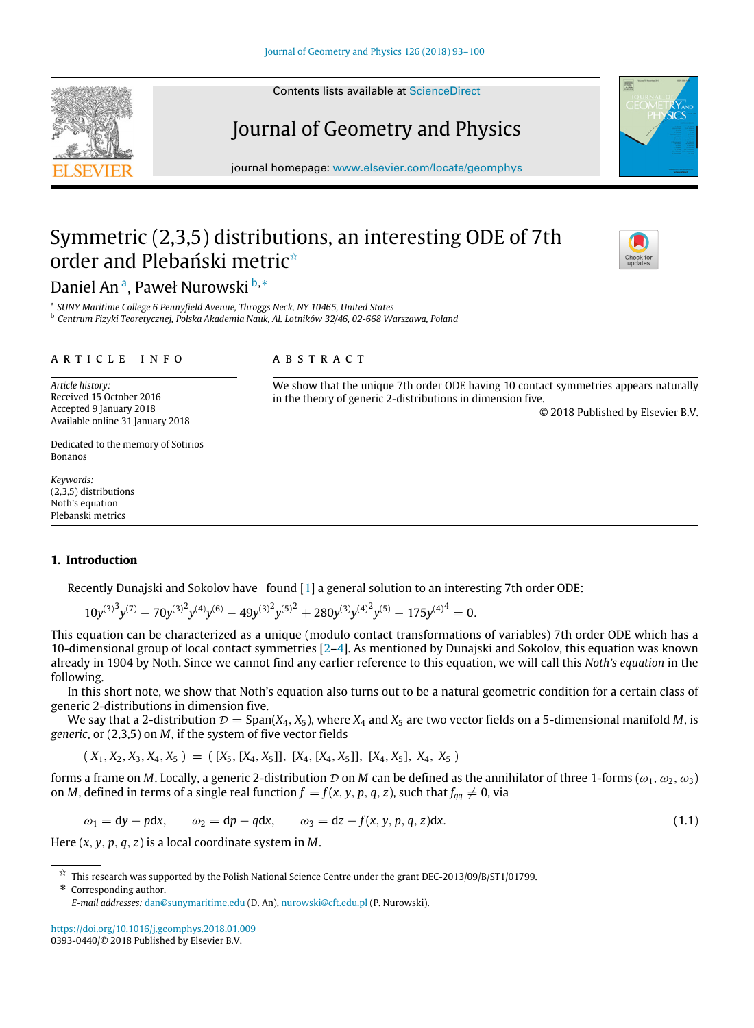Contents lists available at ScienceDirect

# Journal of Geometry and Physics

journal homepage: www.elsevier.com/locate/geomphys

# Symmetric (2,3,5) distributions, an interesting ODE of 7th order and Plebański metric<sup>\*</sup>

# Daniel An<sup>a</sup>, Paweł Nurowski b,\*

a *SUNY Maritime College 6 Pennyfield Avenue, Throggs Neck, NY 10465, United States*

<sup>b</sup> *Centrum Fizyki Teoretycznej, Polska Akademia Nauk, Al. Lotników 32/46, 02-668 Warszawa, Poland*

#### a r t i c l e i n f o

Received 15 October 2016 Accepted 9 January 2018 Available online 31 January 2018

# a b s t r a c t

We show that the unique 7th order ODE having 10 contact symmetries appears naturally in the theory of generic 2-distributions in dimension five.

© 2018 Published by Elsevier B.V.

Dedicated to the memory of Sotirios Bonanos

*Keywords:* (2,3,5) distributions Noth's equation Plebanski metrics

*Article history:*

# **1. Introduction**

Recently Dunajski and Sokolov have found [1] a general solution to an interesting 7th order ODE:

$$
10y^{(3)^3}y^{(7)} - 70y^{(3)^2}y^{(4)}y^{(6)} - 49y^{(3)^2}y^{(5)^2} + 280y^{(3)}y^{(4)^2}y^{(5)} - 175y^{(4)^4} = 0.
$$

This equation can be characterized as a unique (modulo contact transformations of variables) 7th order ODE which has a 10-dimensional group of local contact symmetries [2–4]. As mentioned by Dunajski and Sokolov, this equation was known already in 1904 by Noth. Since we cannot find any earlier reference to this equation, we will call this *Noth's equation* in the following.

In this short note, we show that Noth's equation also turns out to be a natural geometric condition for a certain class of generic 2-distributions in dimension five.

We say that a 2-distribution  $\mathcal{D} = \text{Span}(X_4, X_5)$ , where  $X_4$  and  $X_5$  are two vector fields on a 5-dimensional manifold *M*, is *generic*, or (2,3,5) on *M*, if the system of five vector fields

 $(X_1, X_2, X_3, X_4, X_5) = ([X_5, [X_4, X_5]], [X_4, [X_4, X_5]], [X_4, X_5], X_4, X_5)$ 

forms a frame on *M*. Locally, a generic 2-distribution D on *M* can be defined as the annihilator of three 1-forms ( $\omega_1, \omega_2, \omega_3$ ) on *M*, defined in terms of a single real function  $f = f(x, y, p, q, z)$ , such that  $f_{qq} \neq 0$ , via

$$
\omega_1 = dy - pdx, \qquad \omega_2 = dp - qdx, \qquad \omega_3 = dz - f(x, y, p, q, z)dx.
$$
\n(1.1)

Here (*x*, *y*, *p*, *q*, *z*) is a local coordinate system in *M*.

\* Corresponding author.

https://doi.org/10.1016/j.geomphys.2018.01.009 0393-0440/© 2018 Published by Elsevier B.V.





 $\overline{X}$  This research was supported by the Polish National Science Centre under the grant DEC-2013/09/B/ST1/01799.

*E-mail addresses:* dan@sunymaritime.edu (D. An), nurowski@cft.edu.pl (P. Nurowski).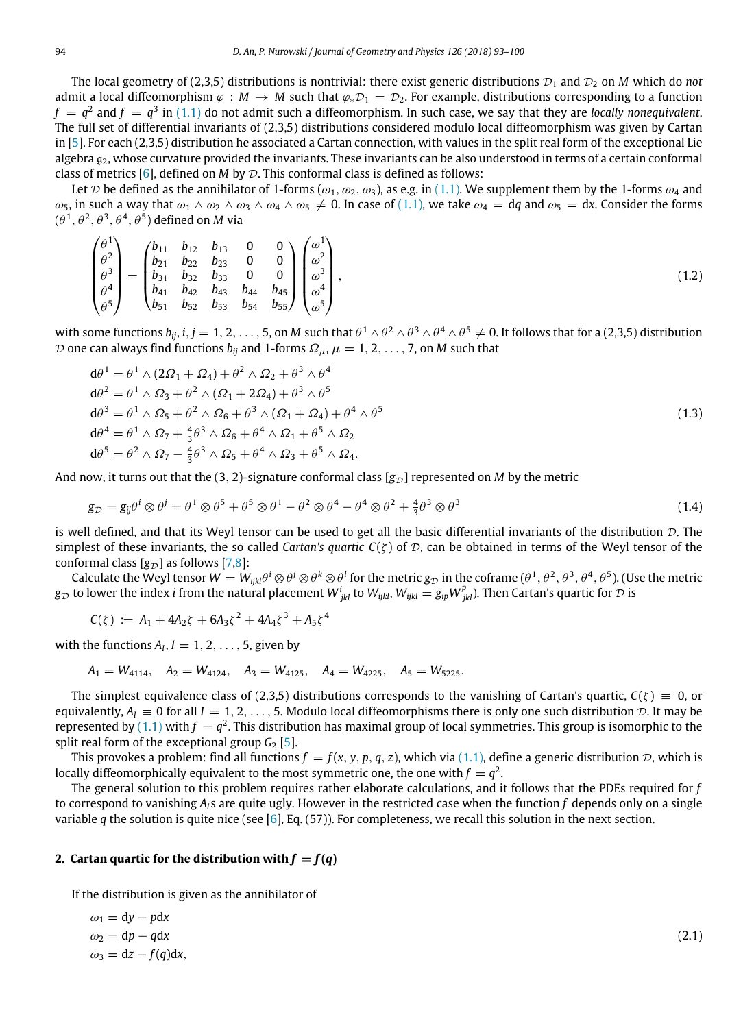The local geometry of (2,3,5) distributions is nontrivial: there exist generic distributions  $\mathcal{D}_1$  and  $\mathcal{D}_2$  on *M* which do *not* admit a local diffeomorphism  $\varphi : M \to M$  such that  $\varphi_* \mathcal{D}_1 = \mathcal{D}_2$ . For example, distributions corresponding to a function  $f\,=\,q^2$  and  $f\,=\,q^3$  in  $(1.1)$  do not admit such a diffeomorphism. In such case, we say that they are *locally nonequivalent.* The full set of differential invariants of (2,3,5) distributions considered modulo local diffeomorphism was given by Cartan in [5]. For each (2,3,5) distribution he associated a Cartan connection, with values in the split real form of the exceptional Lie algebra  $g_2$ , whose curvature provided the invariants. These invariants can be also understood in terms of a certain conformal class of metrics  $[6]$ , defined on *M* by  $\mathcal{D}$ . This conformal class is defined as follows:

Let D be defined as the annihilator of 1-forms ( $\omega_1, \omega_2, \omega_3$ ), as e.g. in (1.1). We supplement them by the 1-forms  $\omega_4$  and  $ω_5$ , in such a way that  $ω_1 ∧ ω_2 ∧ ω_3 ∧ ω_4 ∧ ω_5 ≠ 0$ . In case of (1.1), we take  $ω_4 = dq$  and  $ω_5 = dx$ . Consider the forms  $(\theta^1,\theta^2,\theta^3,\theta^4,\theta^5)$  defined on  $M$  via

$$
\begin{pmatrix}\n\theta^1 \\
\theta^2 \\
\theta^3 \\
\theta^4 \\
\theta^5\n\end{pmatrix} = \begin{pmatrix}\nb_{11} & b_{12} & b_{13} & 0 & 0 \\
b_{21} & b_{22} & b_{23} & 0 & 0 \\
b_{31} & b_{32} & b_{33} & 0 & 0 \\
b_{41} & b_{42} & b_{43} & b_{44} & b_{45} \\
b_{51} & b_{52} & b_{53} & b_{54} & b_{55}\n\end{pmatrix} \begin{pmatrix}\n\omega^1 \\
\omega^2 \\
\omega^3 \\
\omega^4 \\
\omega^5\n\end{pmatrix},
$$
\n(1.2)

with some functions  $b_{ij}$ ,  $i,j=1,2,\ldots,5$ , on  $M$  such that  $\theta^1\wedge\theta^2\wedge\theta^3\wedge\theta^4\wedge\theta^5\neq0.$  It follows that for a (2,3,5) distribution D one can always find functions  $b_{ii}$  and 1-forms  $\Omega_{\mu}$ ,  $\mu = 1, 2, \ldots, 7$ , on *M* such that

$$
d\theta^{1} = \theta^{1} \wedge (2\Omega_{1} + \Omega_{4}) + \theta^{2} \wedge \Omega_{2} + \theta^{3} \wedge \theta^{4}
$$
  
\n
$$
d\theta^{2} = \theta^{1} \wedge \Omega_{3} + \theta^{2} \wedge (\Omega_{1} + 2\Omega_{4}) + \theta^{3} \wedge \theta^{5}
$$
  
\n
$$
d\theta^{3} = \theta^{1} \wedge \Omega_{5} + \theta^{2} \wedge \Omega_{6} + \theta^{3} \wedge (\Omega_{1} + \Omega_{4}) + \theta^{4} \wedge \theta^{5}
$$
  
\n
$$
d\theta^{4} = \theta^{1} \wedge \Omega_{7} + \frac{4}{3}\theta^{3} \wedge \Omega_{6} + \theta^{4} \wedge \Omega_{1} + \theta^{5} \wedge \Omega_{2}
$$
  
\n
$$
d\theta^{5} = \theta^{2} \wedge \Omega_{7} - \frac{4}{3}\theta^{3} \wedge \Omega_{5} + \theta^{4} \wedge \Omega_{3} + \theta^{5} \wedge \Omega_{4}.
$$
\n(1.3)

And now, it turns out that the (3, 2)-signature conformal class  $[g_{\mathcal{D}}]$  represented on *M* by the metric

$$
g_{\mathcal{D}} = g_{ij}\theta^i \otimes \theta^j = \theta^1 \otimes \theta^5 + \theta^5 \otimes \theta^1 - \theta^2 \otimes \theta^4 - \theta^4 \otimes \theta^2 + \frac{4}{3}\theta^3 \otimes \theta^3 \tag{1.4}
$$

is well defined, and that its Weyl tensor can be used to get all the basic differential invariants of the distribution  $D$ . The simplest of these invariants, the so called *Cartan's quartic*  $C(\zeta)$  of  $\mathcal D$ , can be obtained in terms of the Weyl tensor of the conformal class  $[g_{\mathcal{D}}]$  as follows [7,8]:

Calculate the Weyl tensor  $W=W_{ijkl}\theta^i\otimes\theta^j\otimes\theta^k\otimes\theta^l$  for the metric  $g_\mathcal D$  in the coframe  $(\theta^1,\theta^2,\theta^3,\theta^4,\theta^5).$  (Use the metric  $g_{\cal D}$  to lower the index  $i$  from the natural placement  $W^i_{jkl}$  to  $W_{jkl}$ ,  $W_{ijkl}=g_{ip}W^p_{jkl}$ ). Then Cartan's quartic for  ${\cal D}$  is

$$
C(\zeta) := A_1 + 4A_2\zeta + 6A_3\zeta^2 + 4A_4\zeta^3 + A_5\zeta^4
$$

with the functions  $A_I$ ,  $I = 1, 2, \ldots, 5$ , given by

 $A_1 = W_{4114}$ ,  $A_2 = W_{4124}$ ,  $A_3 = W_{4125}$ ,  $A_4 = W_{4225}$ ,  $A_5 = W_{5225}$ .

The simplest equivalence class of (2,3,5) distributions corresponds to the vanishing of Cartan's quartic,  $C(\zeta) \equiv 0$ , or equivalently,  $A_I \equiv 0$  for all  $I = 1, 2, \ldots, 5$ . Modulo local diffeomorphisms there is only one such distribution  $D$ . It may be represented by  $(1.1)$  with  $f = q^2$ . This distribution has maximal group of local symmetries. This group is isomorphic to the split real form of the exceptional group  $G_2$  [5].

This provokes a problem: find all functions  $f = f(x, y, p, q, z)$ , which via (1.1), define a generic distribution D, which is locally diffeomorphically equivalent to the most symmetric one, the one with  $f = q^2$ .

The general solution to this problem requires rather elaborate calculations, and it follows that the PDEs required for *f* to correspond to vanishing  $A<sub>l</sub>$ s are quite ugly. However in the restricted case when the function  $f$  depends only on a single variable *q* the solution is quite nice (see [6], Eq. (57)). For completeness, we recall this solution in the next section.

### 2. Cartan quartic for the distribution with  $f = f(q)$

If the distribution is given as the annihilator of

$$
\omega_1 = dy - pdx
$$
  
\n
$$
\omega_2 = dp - qdx
$$
  
\n
$$
\omega_3 = dz - f(q)dx,
$$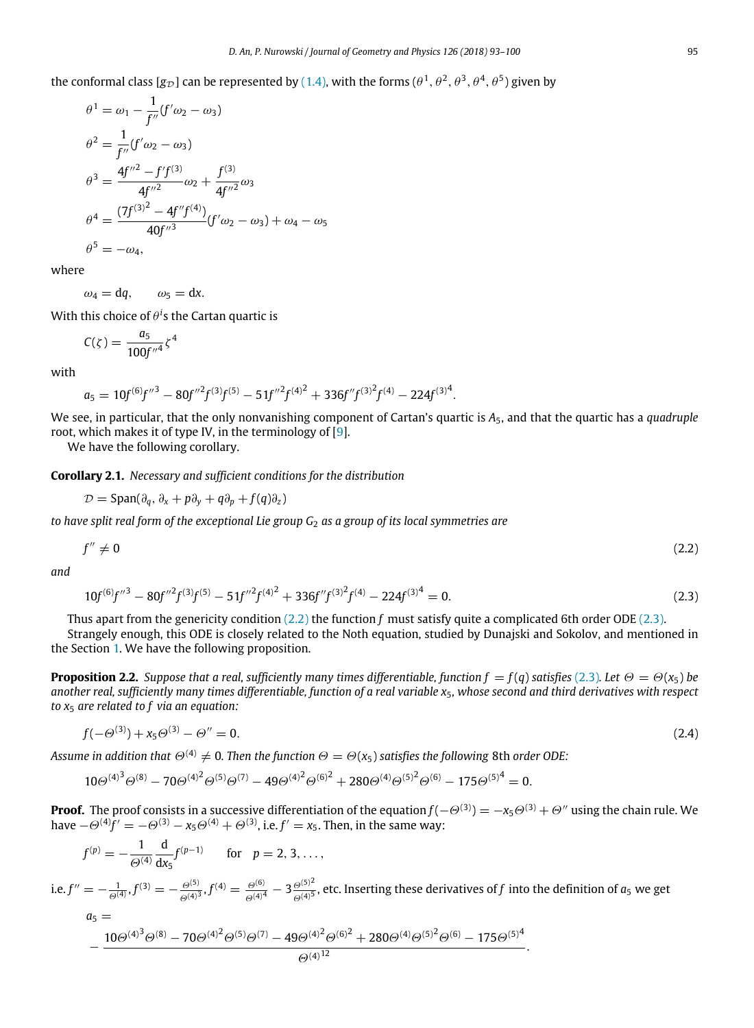the conformal class [g<sub>D</sub>] can be represented by (1.4), with the forms ( $\theta^1,\theta^2,\theta^3,\theta^4,\theta^5)$  given by

$$
\theta^{1} = \omega_{1} - \frac{1}{f''}(f'\omega_{2} - \omega_{3})
$$
  
\n
$$
\theta^{2} = \frac{1}{f''}(f'\omega_{2} - \omega_{3})
$$
  
\n
$$
\theta^{3} = \frac{4f''^{2} - f'f^{(3)}}{4f''^{2}}\omega_{2} + \frac{f^{(3)}}{4f''^{2}}\omega_{3}
$$
  
\n
$$
\theta^{4} = \frac{(7f^{(3)^{2}} - 4f''f^{(4)})}{40f''^{3}}(f'\omega_{2} - \omega_{3}) + \omega_{4} - \omega_{5}
$$
  
\n
$$
\theta^{5} = -\omega_{4},
$$

where

 $\omega_4 = dq$ ,  $\omega_5 = dx$ .

With this choice of  $\theta ^i$ s the Cartan quartic is

$$
C(\zeta) = \frac{a_5}{100f''^4} \zeta^4
$$

with

$$
a_5 = 10f^{(6)}f''^3 - 80f''^2f^{(3)}f^{(5)} - 51f''^2f^{(4)^2} + 336f''f^{(3)^2}f^{(4)} - 224f^{(3)^4}
$$

We see, in particular, that the only nonvanishing component of Cartan's quartic is *A*5, and that the quartic has a *quadruple* root, which makes it of type IV, in the terminology of [9].

.

We have the following corollary.

**Corollary 2.1.** *Necessary and sufficient conditions for the distribution*

$$
\mathcal{D} = \text{Span}(\partial_q, \partial_x + p\partial_y + q\partial_p + f(q)\partial_z)
$$

*to have split real form of the exceptional Lie group G*<sup>2</sup> *as a group of its local symmetries are*

$$
f'' \neq 0 \tag{2.2}
$$

*and*

$$
10f^{(6)}f''^3 - 80f''^2f^{(3)}f^{(5)} - 51f''^2f^{(4)^2} + 336f''f^{(3)^2}f^{(4)} - 224f^{(3)^4} = 0.
$$
\n(2.3)

Thus apart from the genericity condition (2.2) the function *f* must satisfy quite a complicated 6th order ODE (2.3). Strangely enough, this ODE is closely related to the Noth equation, studied by Dunajski and Sokolov, and mentioned in the Section 1. We have the following proposition.

**Proposition 2.2.** *Suppose that a real, sufficiently many times differentiable, function*  $f = f(q)$  *satisfies (2.3). Let*  $\Theta = \Theta(x_5)$  *be another real, sufficiently many times differentiable, function of a real variable x*5*, whose second and third derivatives with respect to x*<sup>5</sup> *are related to f via an equation:*

$$
f(-\Theta^{(3)}) + x_5 \Theta^{(3)} - \Theta'' = 0. \tag{2.4}
$$

*Assume in addition that*  $\Theta^{(4)} \neq 0$ . Then the function  $\Theta = \Theta(x_5)$  satisfies the following 8th order ODE:

$$
10\Theta^{(4)^3}\Theta^{(8)} - 70\Theta^{(4)^2}\Theta^{(5)}\Theta^{(7)} - 49\Theta^{(4)^2}\Theta^{(6)^2} + 280\Theta^{(4)}\Theta^{(5)^2}\Theta^{(6)} - 175\Theta^{(5)^4} = 0.
$$

**Proof.** The proof consists in a successive differentiation of the equation *f* (−Θ(3)) = −*x*5Θ(3) + Θ′′ using the chain rule. We have  $-\Theta^{(4)}\hat{f}' = -\Theta^{(3)} - x_5 \Theta^{(4)} + \Theta^{(3)}$ , i.e.  $f' = x_5$ . Then, in the same way:

$$
f^{(p)} = -\frac{1}{\Theta^{(4)}} \frac{d}{dx_5} f^{(p-1)} \quad \text{for} \quad p = 2, 3, \dots,
$$

i.e.  $f'' = -\frac{1}{\Theta^{(4)}}, f^{(3)} = -\frac{\Theta^{(5)}}{\Theta^{(4)}}$  $\frac{\Theta^{(5)}}{\Theta^{(4)^3}}$ ,  $f^{(4)}=\frac{\Theta^{(6)}}{\Theta^{(4)^4}}-3\frac{\Theta^{(5)^2}}{\Theta^{(4)^5}}$ Θ(4)<sup>5</sup> , etc. Inserting these derivatives of *f* into the definition of *a*<sup>5</sup> we get

$$
a_5 = \frac{10 \Theta^{(4)^3} \Theta^{(8)} - 70 \Theta^{(4)^2} \Theta^{(5)} \Theta^{(7)} - 49 \Theta^{(4)^2} \Theta^{(6)^2} + 280 \Theta^{(4)} \Theta^{(5)^2} \Theta^{(6)} - 175 \Theta^{(5)^4}}{\Theta^{(4)^{12}}}.
$$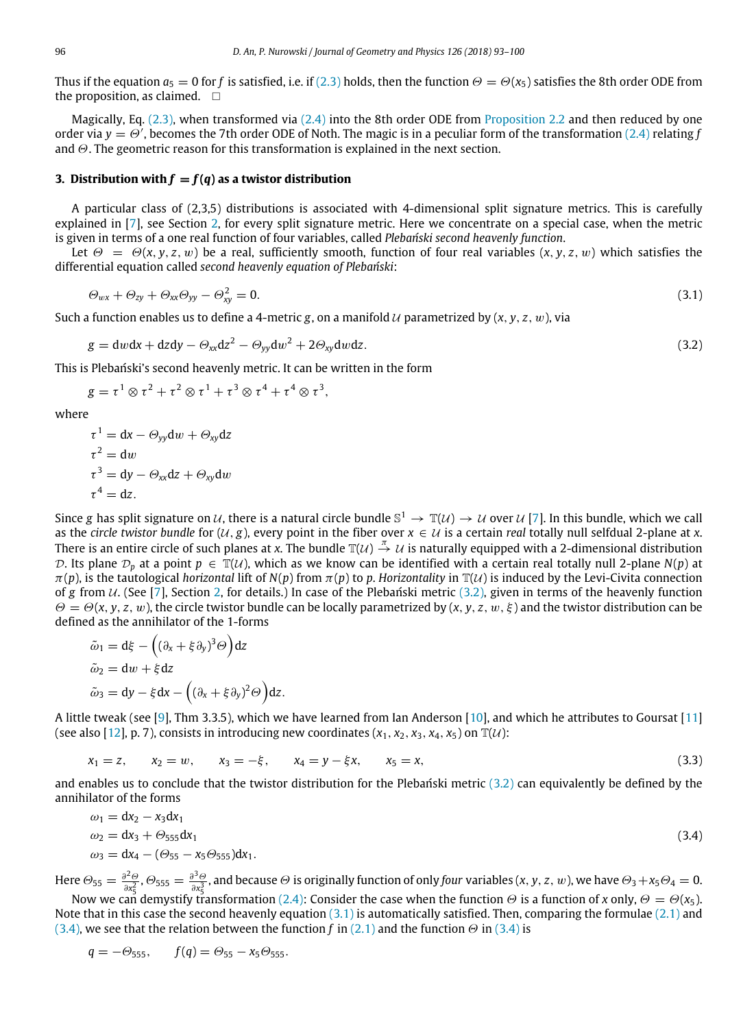Thus if the equation  $a_5 = 0$  for *f* is satisfied, i.e. if (2.3) holds, then the function  $\Theta = \Theta(x_5)$  satisfies the 8th order ODE from the proposition, as claimed.  $\square$ 

Magically, Eq. (2.3), when transformed via (2.4) into the 8th order ODE from Proposition 2.2 and then reduced by one order via  $y = \Theta'$ , becomes the 7th order ODE of Noth. The magic is in a peculiar form of the transformation (2.4) relating *f* and  $\Theta$ . The geometric reason for this transformation is explained in the next section.

#### **3. Distribution with**  $f = f(q)$  as a twistor distribution

A particular class of (2,3,5) distributions is associated with 4-dimensional split signature metrics. This is carefully explained in [7], see Section 2, for every split signature metric. Here we concentrate on a special case, when the metric is given in terms of a one real function of four variables, called *Plebański second heavenly function*.

Let  $\Theta = \Theta(x, y, z, w)$  be a real, sufficiently smooth, function of four real variables  $(x, y, z, w)$  which satisfies the differential equation called *second heavenly equation of Plebański*:

$$
\Theta_{wx} + \Theta_{zy} + \Theta_{xx}\Theta_{yy} - \Theta_{xy}^2 = 0. \tag{3.1}
$$

Such a function enables us to define a 4-metric *g*, on a manifold  $U$  parametrized by  $(x, y, z, w)$ , via

$$
g = dw dx + dz dy - \Theta_{xx} dz^2 - \Theta_{yy} dw^2 + 2\Theta_{xy} dw dz.
$$
\n(3.2)

This is Plebański's second heavenly metric. It can be written in the form

$$
g = \tau^1 \otimes \tau^2 + \tau^2 \otimes \tau^1 + \tau^3 \otimes \tau^4 + \tau^4 \otimes \tau^3,
$$

where

$$
\tau^{1} = dx - \Theta_{yy} dw + \Theta_{xy} dz
$$
  
\n
$$
\tau^{2} = dw
$$
  
\n
$$
\tau^{3} = dy - \Theta_{xx} dz + \Theta_{xy} dw
$$
  
\n
$$
\tau^{4} = dz.
$$

Since g has split signature on  $u$ , there is a natural circle bundle  $\mathbb{S}^1 \to \mathbb{T}(u) \to u$  over  $u$  [7]. In this bundle, which we call as the *circle twistor bundle* for  $(U, g)$ , every point in the fiber over  $x \in U$  is a certain *real* totally null selfdual 2-plane at *x*. There is an entire circle of such planes at *x*. The bundle  $\mathbb{T}(\mathcal{U}) \stackrel{\pi}{\to} \mathcal{U}$  is naturally equipped with a 2-dimensional distribution D. Its plane  $\mathcal{D}_p$  at a point  $p \in \mathbb{T}(\mathcal{U})$ , which as we know can be identified with a certain real totally null 2-plane  $N(p)$  at  $\pi(p)$ , is the tautological *horizontal* lift of  $N(p)$  from  $\pi(p)$  to p. *Horizontality* in  $\mathbb{T}(U)$  is induced by the Levi-Civita connection of *g* from *U*. (See [7], Section 2, for details.) In case of the Plebański metric (3.2), given in terms of the heavenly function  $\Theta = \Theta(x, y, z, w)$ , the circle twistor bundle can be locally parametrized by  $(x, y, z, w, \xi)$  and the twistor distribution can be defined as the annihilator of the 1-forms

$$
\tilde{\omega}_1 = d\xi - ((\partial_x + \xi \partial_y)^3 \Theta) dz
$$
  
\n
$$
\tilde{\omega}_2 = dw + \xi dz
$$
  
\n
$$
\tilde{\omega}_3 = dy - \xi dx - ((\partial_x + \xi \partial_y)^2 \Theta) dz.
$$

A little tweak (see [9], Thm 3.3.5), which we have learned from Ian Anderson [10], and which he attributes to Goursat [11] (see also [12], p. 7), consists in introducing new coordinates  $(x_1, x_2, x_3, x_4, x_5)$  on  $\mathbb{T}(u)$ :

$$
x_1 = z, \qquad x_2 = w, \qquad x_3 = -\xi, \qquad x_4 = y - \xi x, \qquad x_5 = x,\tag{3.3}
$$

and enables us to conclude that the twistor distribution for the Plebański metric  $(3.2)$  can equivalently be defined by the annihilator of the forms

$$
\omega_1 = dx_2 - x_3 dx_1 \n\omega_2 = dx_3 + \Theta_{555} dx_1 \n\omega_3 = dx_4 - (\Theta_{55} - x_5 \Theta_{555}) dx_1.
$$
\n(3.4)

Here  $\Theta_{55} = \frac{\partial^2 \Theta}{\partial x^2}$  $rac{\partial^2 \Theta}{\partial x_5^2}$ ,  $\Theta_{555} = \frac{\partial^3 \Theta}{\partial x_5^3}$  $\frac{\partial^2 \Theta}{\partial x_5^2}$ , and because  $\Theta$  is originally function of only *four* variables  $(x, y, z, w)$ , we have  $\Theta_3 + x_5 \Theta_4 = 0$ .

Now we can demystify transformation (2.4): Consider the case when the function  $\Theta$  is a function of x only,  $\Theta=\Theta({x_5})$ . Note that in this case the second heavenly equation  $(3.1)$  is automatically satisfied. Then, comparing the formulae  $(2.1)$  and (3.4), we see that the relation between the function *f* in (2.1) and the function  $\Theta$  in (3.4) is

$$
q = -\Theta_{555}
$$
,  $f(q) = \Theta_{55} - x_5 \Theta_{555}$ .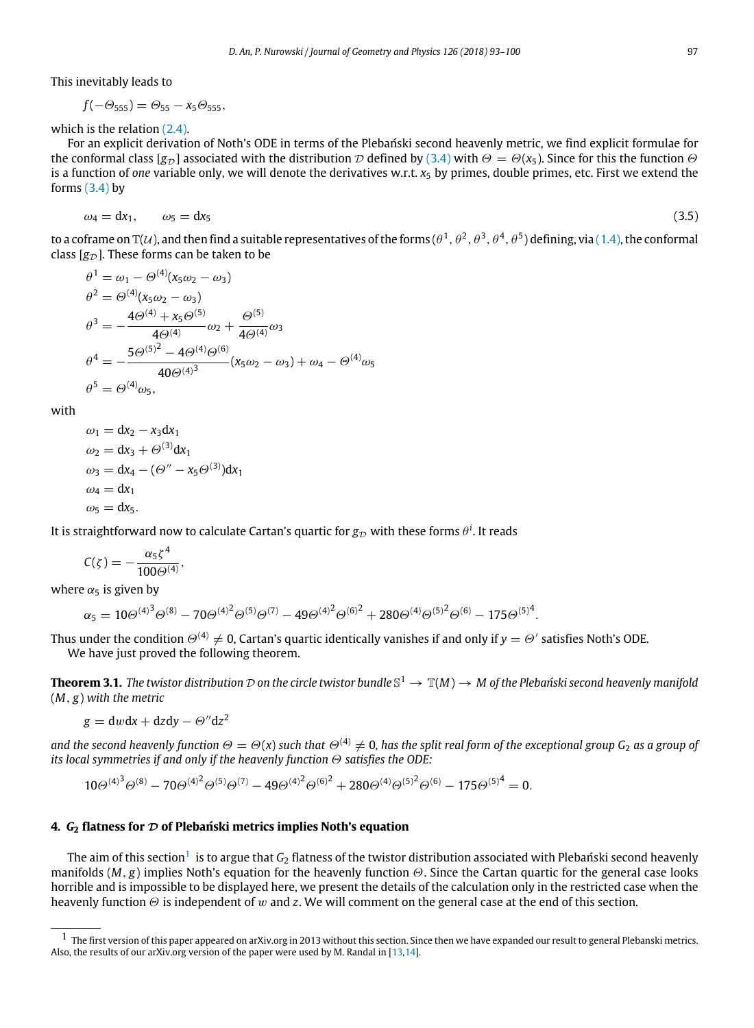This inevitably leads to

$$
f(-\Theta_{555})=\Theta_{55}-x_5\Theta_{555},
$$

which is the relation (2.4).

For an explicit derivation of Noth's ODE in terms of the Plebański second heavenly metric, we find explicit formulae for the conformal class  $[g_D]$  associated with the distribution D defined by (3.4) with  $\Theta = \Theta(x_5)$ . Since for this the function  $\Theta$ is a function of *one* variable only, we will denote the derivatives w.r.t.  $x_5$  by primes, double primes, etc. First we extend the forms  $(3.4)$  by

$$
\omega_4 = \mathrm{d}x_1, \qquad \omega_5 = \mathrm{d}x_5 \tag{3.5}
$$

to a coframe on T(U), and then find a suitable representatives of the forms ( $\theta^1,\theta^2,\theta^3,\theta^4,\theta^5$ ) defining, via (1.4), the conformal class  $[g_{\mathcal{D}}]$ . These forms can be taken to be

$$
\theta^{1} = \omega_{1} - \Theta^{(4)}(x_{5}\omega_{2} - \omega_{3})
$$
  
\n
$$
\theta^{2} = \Theta^{(4)}(x_{5}\omega_{2} - \omega_{3})
$$
  
\n
$$
\theta^{3} = -\frac{4\Theta^{(4)} + x_{5}\Theta^{(5)}}{4\Theta^{(4)}}\omega_{2} + \frac{\Theta^{(5)}}{4\Theta^{(4)}}\omega_{3}
$$
  
\n
$$
\theta^{4} = -\frac{5\Theta^{(5)^{2}} - 4\Theta^{(4)}\Theta^{(6)}}{40\Theta^{(4)^{3}}} (x_{5}\omega_{2} - \omega_{3}) + \omega_{4} - \Theta^{(4)}\omega_{5}
$$
  
\n
$$
\theta^{5} = \Theta^{(4)}\omega_{5},
$$

with

$$
\omega_1 = dx_2 - x_3 dx_1
$$
  
\n
$$
\omega_2 = dx_3 + \Theta^{(3)} dx_1
$$
  
\n
$$
\omega_3 = dx_4 - (\Theta'' - x_5 \Theta^{(3)}) dx_1
$$
  
\n
$$
\omega_4 = dx_1
$$
  
\n
$$
\omega_5 = dx_5.
$$

It is straightforward now to calculate Cartan's quartic for  $g_\mathcal{D}$  with these forms  $\theta^i$ . It reads

$$
C(\zeta)=-\frac{\alpha_5\zeta^4}{100\Theta^{(4)}},
$$

where  $\alpha_5$  is given by

$$
\alpha_5 = 10\Theta^{(4)^3}\Theta^{(8)} - 70\Theta^{(4)^2}\Theta^{(5)}\Theta^{(7)} - 49\Theta^{(4)^2}\Theta^{(6)^2} + 280\Theta^{(4)}\Theta^{(5)^2}\Theta^{(6)} - 175\Theta^{(5)^4}.
$$

Thus under the condition  $\Theta^{(4)}\neq 0$ , Cartan's quartic identically vanishes if and only if  $y=\Theta'$  satisfies Noth's ODE. We have just proved the following theorem.

**Theorem 3.1.** The twistor distribution  $\mathcal D$  on the circle twistor bundle  $\mathbb S^1 \to \mathbb T(M) \to M$  of the Plebański second heavenly manifold (*M*, *g*) *with the metric*

$$
g = dwdx + dzdy - \Theta''dz^2
$$

*and the second heavenly function*  $\Theta = \Theta(x)$  *such that*  $\Theta^{(4)} \neq 0$ , has the split real form of the exceptional group G<sub>2</sub> as a group of *its local symmetries if and only if the heavenly function* Θ *satisfies the ODE:*

$$
10\Theta^{(4)^3}\Theta^{(8)} - 70\Theta^{(4)^2}\Theta^{(5)}\Theta^{(7)} - 49\Theta^{(4)^2}\Theta^{(6)^2} + 280\Theta^{(4)}\Theta^{(5)^2}\Theta^{(6)} - 175\Theta^{(5)^4} = 0.
$$

### **4.** *G***<sup>2</sup> flatness for** D **of Plebański metrics implies Noth's equation**

The aim of this section $^1$  is to argue that  $\mathcal{G}_2$  flatness of the twistor distribution associated with Plebański second heavenly manifolds (*M*, *g*) implies Noth's equation for the heavenly function Θ. Since the Cartan quartic for the general case looks horrible and is impossible to be displayed here, we present the details of the calculation only in the restricted case when the heavenly function Θ is independent of w and *z*. We will comment on the general case at the end of this section.

 $1$  The first version of this paper appeared on arXiv.org in 2013 without this section. Since then we have expanded our result to general Plebanski metrics. Also, the results of our arXiv.org version of the paper were used by M. Randal in [13,14].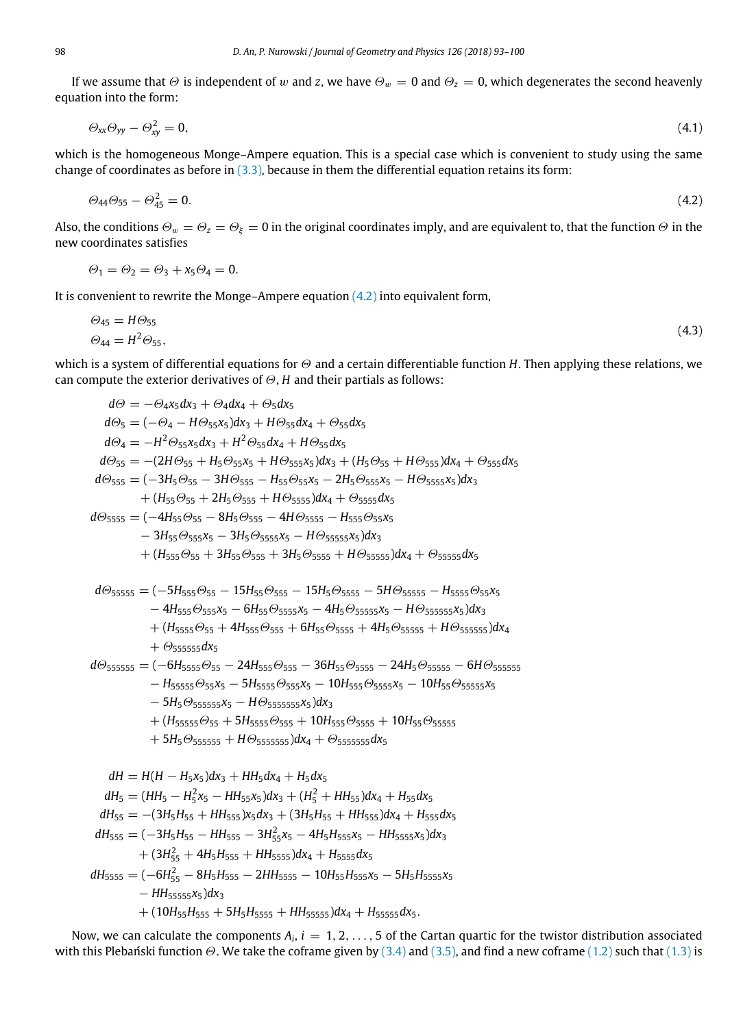If we assume that  $\Theta$  is independent of w and *z*, we have  $\Theta_w = 0$  and  $\Theta_z = 0$ , which degenerates the second heavenly equation into the form:

$$
\Theta_{xx}\Theta_{yy}-\Theta_{xy}^2=0,\tag{4.1}
$$

which is the homogeneous Monge–Ampere equation. This is a special case which is convenient to study using the same change of coordinates as before in  $(3.3)$ , because in them the differential equation retains its form:

$$
\Theta_{44}\Theta_{55} - \Theta_{45}^2 = 0. \tag{4.2}
$$

Also, the conditions  $\Theta_w = \Theta_z = \Theta_\xi = 0$  in the original coordinates imply, and are equivalent to, that the function  $\Theta$  in the new coordinates satisfies

$$
\Theta_1 = \Theta_2 = \Theta_3 + x_5 \Theta_4 = 0.
$$

It is convenient to rewrite the Monge–Ampere equation  $(4.2)$  into equivalent form,

$$
\Theta_{45} = H\Theta_{55} \n\Theta_{44} = H^2\Theta_{55},
$$
\n(4.3)

which is a system of differential equations for Θ and a certain differentiable function *H*. Then applying these relations, we can compute the exterior derivatives of Θ, *H* and their partials as follows:

$$
d\Theta = -\Theta_4 x_5 dx_3 + \Theta_4 dx_4 + \Theta_5 dx_5
$$
\n
$$
d\Theta_5 = (-\Theta_4 - H\Theta_{55}x_5)dx_3 + H\Theta_{55}dx_4 + \Theta_{55}dx_5
$$
\n
$$
d\Theta_4 = -H^2\Theta_{55}x_5 dx_3 + H^2\Theta_{55}dx_4 + H\Theta_{55}dx_5
$$
\n
$$
d\Theta_{45} = -(2H\Theta_{55} + H_5\Theta_{55}x_5 + H\Theta_{555}x_5)dx_3 + (H_5\Theta_{55} + H\Theta_{555})dx_4 + \Theta_{555}dx_5
$$
\n
$$
d\Theta_{555} = -(2H\Theta_{55} + H_5\Theta_{555} - H_{55}\Theta_{55}x_5 - 2H_5\Theta_{555}x_5 - H\Theta_{5555}x_5)dx_4 + \Theta_{5555}dx_5
$$
\n
$$
d\Theta_{5555} = (-3H_5\Theta_{55} - 3H\Theta_{555} - H_{555}\Theta_{55}x_5 - H_{5555}\Theta_{55}x_5 - H_{5555}\Theta_{55}x_5
$$
\n
$$
-3H_{55}\Theta_{555}x_5 - 3H_5\Theta_{5555}x_5 - H\Theta_{55555}x_5 dx_5
$$
\n
$$
d\Theta_{55555} = (-5H_{555}\Theta_{55} - 15H_{55}\Theta_{555} - 15H_5\Theta_{5555} + H_{5555}\Theta_{55}x_5
$$
\n
$$
-4H_{555}\Theta_{555} - 15H_{55}\Theta_{555} - 15H_5\Theta_{5555} - 5H_{5555}\Theta_{555} - H_{55555}\Theta_{55}x_5
$$
\n
$$
-4H_{5555}\Theta_{555} - 15H_{555}\Theta_{555} - 15H_5\Theta_{55555} - 5H_{5555}\Theta_{555} - 24H_5\Theta_{55555} - H_{55555}\Theta_{555}
$$
\n<math display="</math>

Now, we can calculate the components  $A_i$ ,  $i=1,2,\ldots,5$  of the Cartan quartic for the twistor distribution associated with this Plebański function  $\Theta$ . We take the coframe given by (3.4) and (3.5), and find a new coframe (1.2) such that (1.3) is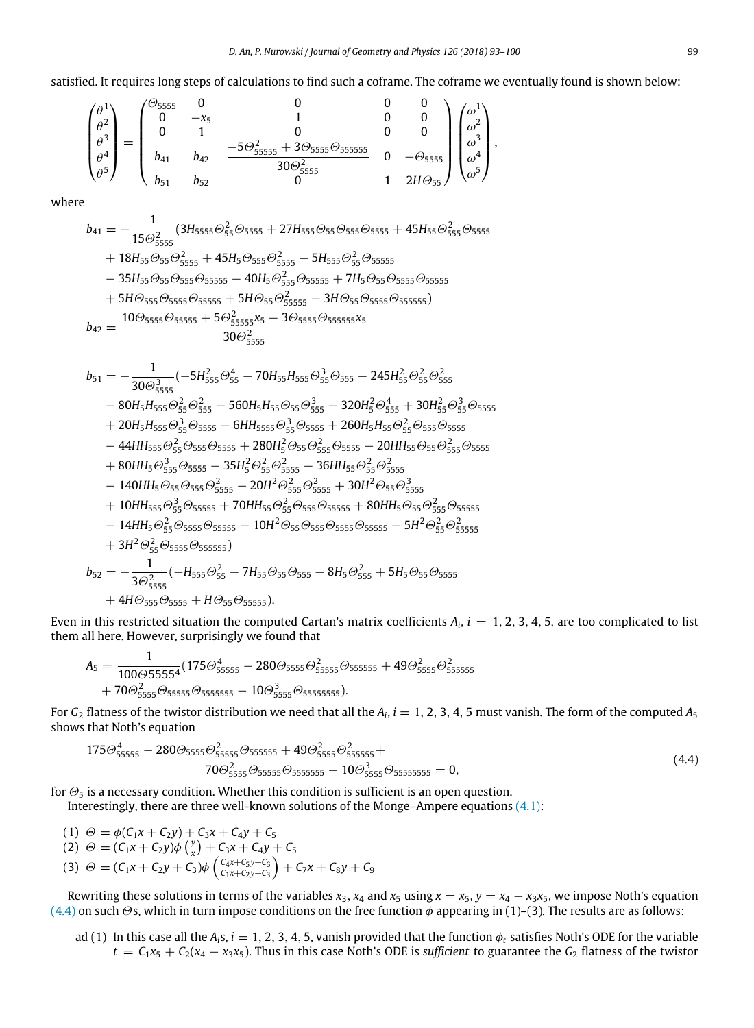,

satisfied. It requires long steps of calculations to find such a coframe. The coframe we eventually found is shown below:

$$
\begin{pmatrix} \theta^1 \\ \theta^2 \\ \theta^3 \\ \theta^4 \\ \theta^5 \end{pmatrix} = \begin{pmatrix} \theta_{5555} & 0 & 0 & 0 & 0 \\ 0 & -x_5 & 1 & 0 & 0 \\ 0 & 1 & 0 & 0 & 0 \\ b_{41} & b_{42} & \frac{-5\Theta_{5555}^2 + 3\Theta_{5555}\Theta_{5555555}}{30\Theta_{5555}} & 0 & -\Theta_{5555} \\ b_{51} & b_{52} & 0 & 1 & 2H\Theta_{55} \end{pmatrix} \begin{pmatrix} \omega^1 \\ \omega^2 \\ \omega^3 \\ \omega^4 \\ \omega^5 \end{pmatrix}
$$

where

$$
\begin{aligned} b_{41} & = -\frac{1}{15\Theta_{5555}^{2}}(3H_{5555}\Theta_{55}^{2} \Theta_{5555}+27H_{555}\Theta_{55}\Theta_{555}\Theta_{5555}+45H_{55}\Theta_{555}^{2}\Theta_{5555}\\&+18H_{55}\Theta_{55}\Theta_{555}^{2}+45H_{5}\Theta_{555}\Theta_{5555}^{2}-5H_{555}\Theta_{55}^{2}\Theta_{55555}\\&-35H_{55}\Theta_{55}\Theta_{555}\Theta_{55555}-40H_{5}\Theta_{55}^{2}\Theta_{55555}+7H_{5}\Theta_{55}\Theta_{5555}\Theta_{55555}\\&+5H\Theta_{555}\Theta_{5555}\Theta_{55555}+5H\Theta_{55}\Theta_{55555}^{2}-3H\Theta_{55}\Theta_{5555}\Theta_{555555})\\ b_{42} & =\frac{10\Theta_{5555}\Theta_{55555}+5\Theta_{55555}^{2}x_{5}-3\Theta_{5555}\Theta_{555555}x_{5}}{30\Theta_{5555}^{2}} \end{aligned}
$$

$$
\begin{aligned} b_{51}=&-\frac{1}{30\Theta_{5555}^{3}}(-5H_{555}^{2}\Theta_{55}^{4}-70H_{55}H_{555}\Theta_{55}^{3}\Theta_{555}-245H_{55}^{2}\Theta_{55}^{2}\Theta_{555}^{2}\\ &-80H_{5}H_{555}\Theta_{55}^{2}\Theta_{555}^{2}-560H_{5}H_{555}\Theta_{55}\Theta_{55}^{3}-320H_{5}^{2}\Theta_{555}^{4}+30H_{55}^{2}\Theta_{55}^{3}\Theta_{5555}^{2}\\ &+20H_{5}H_{555}\Theta_{55}^{3}\Theta_{5555}-6HH_{5555}\Theta_{55}^{3}\Theta_{5555}+260H_{5}H_{55}\Theta_{55}^{2}\Theta_{555}\Theta_{5555} \\ &-44HH_{555}\Theta_{55}^{2}\Theta_{555}\Theta_{555}+280H_{5}^{2}\Theta_{55}\Theta_{555}^{2}\Theta_{5555}-20HH_{55}\Theta_{55}\Theta_{55}\Theta_{555}^{2}\\ &+80HH_{5}\Theta_{555}^{3}\Theta_{5555}-35H_{5}^{2}\Theta_{55}^{2}\Theta_{5555}^{2}-36HH_{55}\Theta_{55}^{2}\Theta_{5555}^{2}\\ &-140HH_{5}\Theta_{55}\Theta_{555}\Theta_{5555}^{2}-20H^{2}\Theta_{55}^{2}\Theta_{5555}^{2}+30H^{2}\Theta_{55}\Theta_{5555}^{3}\\ &+10HH_{555}\Theta_{55}^{3}\Theta_{5555}+70HH_{55}\Theta_{55}^{2}\Theta_{5555}^{2}\\ &-14HH_{5}\Theta_{55}^{2}\Theta_{55555}+70HH_{55}\Theta_{55}^{2}\Theta_{5555}\Theta_{55555}+80HH_{5}\Theta_{55}\Theta_{555}^{2}\\ &-14HH_{5}\Theta_{55}^{2}\Theta_{5555}\Theta_{55555}-10H^{2}\Theta_{55}\Theta_{5555}\Theta_{55555}-5H^{2}\Theta_{55}^{2}\Theta_{55555}^{2}\\ &+3H^{
$$

Even in this restricted situation the computed Cartan's matrix coefficients  $A_i$ ,  $i = 1, 2, 3, 4, 5$ , are too complicated to list them all here. However, surprisingly we found that

$$
A_5 = \frac{1}{100\Theta 55554} (175\Theta_{55555}^4 - 280\Theta_{5555}\Theta_{555555}^2 + 49\Theta_{5555}\Theta_{555555}^2 + 70\Theta_{5555}\Theta_{5555555} - 10\Theta_{5555}\Theta_{555555555}^3).
$$

For  $G_2$  flatness of the twistor distribution we need that all the  $A_i$ ,  $i=1, 2, 3, 4, 5$  must vanish. The form of the computed  $A_5$ shows that Noth's equation

$$
175\Theta_{55555}^{4} - 280\Theta_{5555}\Theta_{555555}^{2} + 49\Theta_{5555}\Theta_{555555}^{2} + 70\Theta_{5555}^{2} + 70\Theta_{5555}^{2} + 60\Theta_{5555}\Theta_{55555555}^{2} - 10\Theta_{5555}^{2} + 60\Theta_{5555}\Theta_{555555555}^{2}
$$
(4.4)

for  $\Theta_5$  is a necessary condition. Whether this condition is sufficient is an open question.

Interestingly, there are three well-known solutions of the Monge–Ampere equations (4.1):

(1)  $\Theta = \phi(C_1x + C_2y) + C_3x + C_4y + C_5$ (2)  $\Theta = (C_1x + C_2y)\phi\left(\frac{y}{x}\right) + C_3x + C_4y + C_5$ (3)  $\Theta = (C_1 x + C_2 y + C_3) \phi \left( \frac{C_4 x + C_5 y + C_6}{C_1 x + C_2 y + C_3} \right) + C_7 x + C_8 y + C_9$ 

Rewriting these solutions in terms of the variables  $x_3$ ,  $x_4$  and  $x_5$  using  $x = x_5$ ,  $y = x_4 - x_3x_5$ , we impose Noth's equation (4.4) on such  $\Theta$ s, which in turn impose conditions on the free function  $\phi$  appearing in (1)–(3). The results are as follows:

ad (1) In this case all the  $A_i s$ ,  $i = 1, 2, 3, 4, 5$ , vanish provided that the function  $\phi_t$  satisfies Noth's ODE for the variable  $t = C_1x_5 + C_2(x_4 - x_3x_5)$ . Thus in this case Noth's ODE is *sufficient* to guarantee the  $G_2$  flatness of the twistor